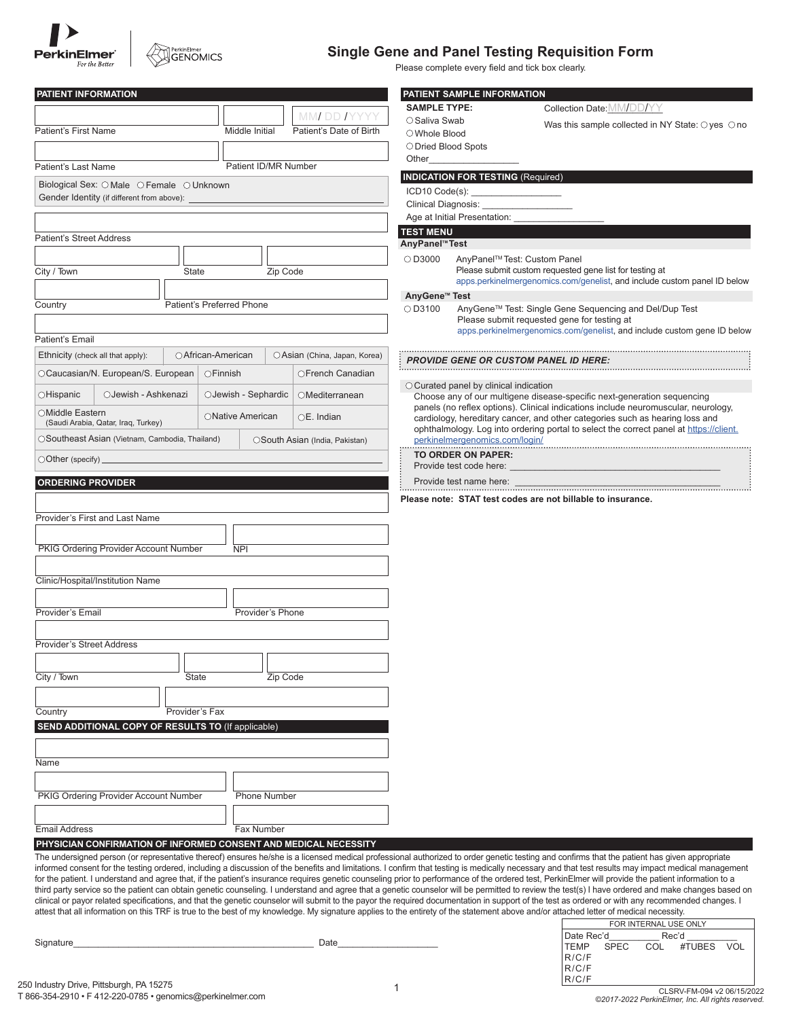



### **Single Gene and Panel Testing Requisition Form**

Please complete every field and tick box clearly.

| PATIENT INFORMATION                                                                                                                                                                   |                           |                                |                                | PATIENT SAMPLE INFORMATION                                                                                                                                                                                                                                   |                                                                                                                                                                                                                                                                                                                                                                                                            |  |  |
|---------------------------------------------------------------------------------------------------------------------------------------------------------------------------------------|---------------------------|--------------------------------|--------------------------------|--------------------------------------------------------------------------------------------------------------------------------------------------------------------------------------------------------------------------------------------------------------|------------------------------------------------------------------------------------------------------------------------------------------------------------------------------------------------------------------------------------------------------------------------------------------------------------------------------------------------------------------------------------------------------------|--|--|
|                                                                                                                                                                                       |                           | MM DD IYYYY                    | <b>SAMPLE TYPE:</b>            |                                                                                                                                                                                                                                                              | Collection Date: MM/DD/YY                                                                                                                                                                                                                                                                                                                                                                                  |  |  |
| Patient's First Name                                                                                                                                                                  | Middle Initial            | Patient's Date of Birth        | ○ Saliva Swab<br>○ Whole Blood |                                                                                                                                                                                                                                                              | Was this sample collected in NY State: $\bigcirc$ yes $\bigcirc$ no                                                                                                                                                                                                                                                                                                                                        |  |  |
|                                                                                                                                                                                       |                           |                                | O Dried Blood Spots            |                                                                                                                                                                                                                                                              |                                                                                                                                                                                                                                                                                                                                                                                                            |  |  |
| Patient's Last Name                                                                                                                                                                   | Patient ID/MR Number      |                                | Other                          |                                                                                                                                                                                                                                                              |                                                                                                                                                                                                                                                                                                                                                                                                            |  |  |
| Biological Sex: O Male O Female O Unknown                                                                                                                                             |                           |                                |                                | <b>INDICATION FOR TESTING (Required)</b>                                                                                                                                                                                                                     |                                                                                                                                                                                                                                                                                                                                                                                                            |  |  |
| Gender Identity (if different from above):                                                                                                                                            |                           |                                |                                | ICD10 Code(s): ____________________                                                                                                                                                                                                                          |                                                                                                                                                                                                                                                                                                                                                                                                            |  |  |
|                                                                                                                                                                                       |                           |                                |                                | Clinical Diagnosis:<br>Age at Initial Presentation:                                                                                                                                                                                                          |                                                                                                                                                                                                                                                                                                                                                                                                            |  |  |
|                                                                                                                                                                                       |                           |                                | <b>TEST MENU</b>               |                                                                                                                                                                                                                                                              |                                                                                                                                                                                                                                                                                                                                                                                                            |  |  |
| <b>Patient's Street Address</b>                                                                                                                                                       |                           |                                | AnyPanel™Test                  |                                                                                                                                                                                                                                                              |                                                                                                                                                                                                                                                                                                                                                                                                            |  |  |
|                                                                                                                                                                                       |                           |                                | $\bigcirc$ D3000               |                                                                                                                                                                                                                                                              | AnyPanel™ Test: Custom Panel                                                                                                                                                                                                                                                                                                                                                                               |  |  |
| City / Town<br><b>State</b>                                                                                                                                                           |                           | Zip Code                       |                                |                                                                                                                                                                                                                                                              | Please submit custom requested gene list for testing at<br>apps.perkinelmergenomics.com/genelist, and include custom panel ID below                                                                                                                                                                                                                                                                        |  |  |
|                                                                                                                                                                                       |                           |                                | AnyGene <sup>™</sup> Test      |                                                                                                                                                                                                                                                              |                                                                                                                                                                                                                                                                                                                                                                                                            |  |  |
| Country                                                                                                                                                                               | Patient's Preferred Phone |                                | OD3100                         |                                                                                                                                                                                                                                                              | AnyGene™ Test: Single Gene Sequencing and Del/Dup Test                                                                                                                                                                                                                                                                                                                                                     |  |  |
|                                                                                                                                                                                       |                           |                                |                                |                                                                                                                                                                                                                                                              | Please submit requested gene for testing at<br>apps.perkinelmergenomics.com/genelist, and include custom gene ID below                                                                                                                                                                                                                                                                                     |  |  |
| Patient's Email                                                                                                                                                                       |                           |                                |                                |                                                                                                                                                                                                                                                              |                                                                                                                                                                                                                                                                                                                                                                                                            |  |  |
| Ethnicity (check all that apply):                                                                                                                                                     | ○ African-American        | OAsian (China, Japan, Korea)   |                                |                                                                                                                                                                                                                                                              | <b>PROVIDE GENE OR CUSTOM PANEL ID HERE:</b>                                                                                                                                                                                                                                                                                                                                                               |  |  |
| OCaucasian/N. European/S. European                                                                                                                                                    | $\bigcirc$ Finnish        | OFrench Canadian               |                                |                                                                                                                                                                                                                                                              |                                                                                                                                                                                                                                                                                                                                                                                                            |  |  |
| ○Hispanic<br>OJewish - Ashkenazi                                                                                                                                                      | OJewish - Sephardic       | OMediterranean                 |                                | $\circ$ Curated panel by clinical indication                                                                                                                                                                                                                 | Choose any of our multigene disease-specific next-generation sequencing                                                                                                                                                                                                                                                                                                                                    |  |  |
| ○Middle Eastern<br>(Saudi Arabia, Qatar, Iraq, Turkey)                                                                                                                                | ONative American          | OE. Indian                     |                                | panels (no reflex options). Clinical indications include neuromuscular, neurology,<br>cardiology, hereditary cancer, and other categories such as hearing loss and<br>ophthalmology. Log into ordering portal to select the correct panel at https://client. |                                                                                                                                                                                                                                                                                                                                                                                                            |  |  |
| OSoutheast Asian (Vietnam, Cambodia, Thailand)                                                                                                                                        |                           | OSouth Asian (India, Pakistan) |                                | perkinelmergenomics.com/login/                                                                                                                                                                                                                               |                                                                                                                                                                                                                                                                                                                                                                                                            |  |  |
| $\bigcirc$ Other (specify) $\_$                                                                                                                                                       |                           |                                | TO ORDER ON PAPER:             |                                                                                                                                                                                                                                                              |                                                                                                                                                                                                                                                                                                                                                                                                            |  |  |
|                                                                                                                                                                                       |                           |                                |                                | Provide test code here:<br>Provide test name here:                                                                                                                                                                                                           |                                                                                                                                                                                                                                                                                                                                                                                                            |  |  |
| <b>ORDERING PROVIDER</b>                                                                                                                                                              |                           |                                |                                |                                                                                                                                                                                                                                                              |                                                                                                                                                                                                                                                                                                                                                                                                            |  |  |
|                                                                                                                                                                                       |                           |                                |                                |                                                                                                                                                                                                                                                              | Please note: STAT test codes are not billable to insurance.                                                                                                                                                                                                                                                                                                                                                |  |  |
| Provider's First and Last Name                                                                                                                                                        |                           |                                |                                |                                                                                                                                                                                                                                                              |                                                                                                                                                                                                                                                                                                                                                                                                            |  |  |
|                                                                                                                                                                                       |                           |                                |                                |                                                                                                                                                                                                                                                              |                                                                                                                                                                                                                                                                                                                                                                                                            |  |  |
| PKIG Ordering Provider Account Number                                                                                                                                                 | <b>NPI</b>                |                                |                                |                                                                                                                                                                                                                                                              |                                                                                                                                                                                                                                                                                                                                                                                                            |  |  |
|                                                                                                                                                                                       |                           |                                |                                |                                                                                                                                                                                                                                                              |                                                                                                                                                                                                                                                                                                                                                                                                            |  |  |
| Clinic/Hospital/Institution Name                                                                                                                                                      |                           |                                |                                |                                                                                                                                                                                                                                                              |                                                                                                                                                                                                                                                                                                                                                                                                            |  |  |
| Provider's Email                                                                                                                                                                      | Provider's Phone          |                                |                                |                                                                                                                                                                                                                                                              |                                                                                                                                                                                                                                                                                                                                                                                                            |  |  |
|                                                                                                                                                                                       |                           |                                |                                |                                                                                                                                                                                                                                                              |                                                                                                                                                                                                                                                                                                                                                                                                            |  |  |
| <b>Provider's Street Address</b>                                                                                                                                                      |                           |                                |                                |                                                                                                                                                                                                                                                              |                                                                                                                                                                                                                                                                                                                                                                                                            |  |  |
|                                                                                                                                                                                       |                           |                                |                                |                                                                                                                                                                                                                                                              |                                                                                                                                                                                                                                                                                                                                                                                                            |  |  |
| City / Town<br>State                                                                                                                                                                  |                           | Zip Code                       |                                |                                                                                                                                                                                                                                                              |                                                                                                                                                                                                                                                                                                                                                                                                            |  |  |
|                                                                                                                                                                                       |                           |                                |                                |                                                                                                                                                                                                                                                              |                                                                                                                                                                                                                                                                                                                                                                                                            |  |  |
| Provider's Fax<br>Country                                                                                                                                                             |                           |                                |                                |                                                                                                                                                                                                                                                              |                                                                                                                                                                                                                                                                                                                                                                                                            |  |  |
| SEND ADDITIONAL COPY OF RESULTS TO (If applicable)                                                                                                                                    |                           |                                |                                |                                                                                                                                                                                                                                                              |                                                                                                                                                                                                                                                                                                                                                                                                            |  |  |
|                                                                                                                                                                                       |                           |                                |                                |                                                                                                                                                                                                                                                              |                                                                                                                                                                                                                                                                                                                                                                                                            |  |  |
|                                                                                                                                                                                       |                           |                                |                                |                                                                                                                                                                                                                                                              |                                                                                                                                                                                                                                                                                                                                                                                                            |  |  |
| Name                                                                                                                                                                                  |                           |                                |                                |                                                                                                                                                                                                                                                              |                                                                                                                                                                                                                                                                                                                                                                                                            |  |  |
|                                                                                                                                                                                       |                           |                                |                                |                                                                                                                                                                                                                                                              |                                                                                                                                                                                                                                                                                                                                                                                                            |  |  |
| PKIG Ordering Provider Account Number                                                                                                                                                 |                           | <b>Phone Number</b>            |                                |                                                                                                                                                                                                                                                              |                                                                                                                                                                                                                                                                                                                                                                                                            |  |  |
|                                                                                                                                                                                       |                           |                                |                                |                                                                                                                                                                                                                                                              |                                                                                                                                                                                                                                                                                                                                                                                                            |  |  |
| <b>Email Address</b>                                                                                                                                                                  | Fax Number                |                                |                                |                                                                                                                                                                                                                                                              |                                                                                                                                                                                                                                                                                                                                                                                                            |  |  |
| PHYSICIAN CONFIRMATION OF INFORMED CONSENT AND MEDICAL NECESSITY                                                                                                                      |                           |                                |                                |                                                                                                                                                                                                                                                              | The undersigned person (or representative thereof) ensures he/she is a licensed medical professional authorized to order genetic testing and confirms that the patient has given appropriate                                                                                                                                                                                                               |  |  |
|                                                                                                                                                                                       |                           |                                |                                |                                                                                                                                                                                                                                                              | informed consent for the testing ordered, including a discussion of the benefits and limitations. I confirm that testing is medically necessary and that test results may impact medical management                                                                                                                                                                                                        |  |  |
|                                                                                                                                                                                       |                           |                                |                                |                                                                                                                                                                                                                                                              | for the patient. I understand and agree that, if the patient's insurance requires genetic counseling prior to performance of the ordered test, PerkinElmer will provide the patient information to a<br>third party service so the patient can obtain genetic counseling. I understand and agree that a genetic counselor will be permitted to review the test(s) I have ordered and make changes based on |  |  |
|                                                                                                                                                                                       |                           |                                |                                |                                                                                                                                                                                                                                                              | clinical or payor related specifications, and that the genetic counselor will submit to the payor the required documentation in support of the test as ordered or with any recommended changes. I                                                                                                                                                                                                          |  |  |
| attest that all information on this TRF is true to the best of my knowledge. My signature applies to the entirety of the statement above and/or attached letter of medical necessity. |                           |                                |                                |                                                                                                                                                                                                                                                              | FOR INTERNAL USE ONLY                                                                                                                                                                                                                                                                                                                                                                                      |  |  |
|                                                                                                                                                                                       |                           |                                |                                |                                                                                                                                                                                                                                                              | Date Rec'd<br>Rec'd                                                                                                                                                                                                                                                                                                                                                                                        |  |  |
| Signature                                                                                                                                                                             |                           | Date                           |                                |                                                                                                                                                                                                                                                              | <b>SPEC</b><br>COL #TUBES VOL<br>TEMP<br>R/C/F                                                                                                                                                                                                                                                                                                                                                             |  |  |
|                                                                                                                                                                                       |                           |                                |                                |                                                                                                                                                                                                                                                              | R/C/F                                                                                                                                                                                                                                                                                                                                                                                                      |  |  |

R/C/F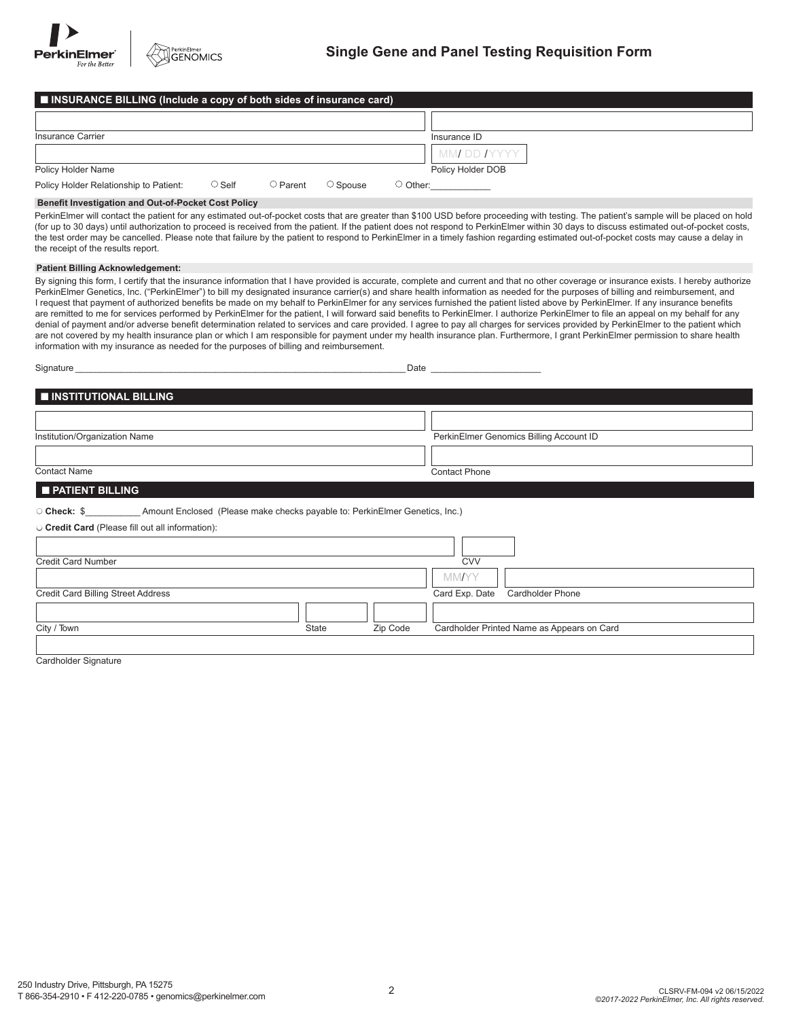

| ■ INSURANCE BILLING (Include a copy of both sides of insurance card) |              |                |                |                   |
|----------------------------------------------------------------------|--------------|----------------|----------------|-------------------|
|                                                                      |              |                |                |                   |
| Insurance Carrier                                                    |              |                |                | Insurance ID      |
|                                                                      |              |                |                | MMI DD IYYYY      |
| Policy Holder Name                                                   |              |                |                | Policy Holder DOB |
| Policy Holder Relationship to Patient:                               | $\circ$ Self | $\circ$ Parent | $\circ$ Spouse | $\supset$ Other:  |

#### **Benefit Investigation and Out-of-Pocket Cost Policy**

PerkinElmer will contact the patient for any estimated out-of-pocket costs that are greater than \$100 USD before proceeding with testing. The patient's sample will be placed on hold (for up to 30 days) until authorization to proceed is received from the patient. If the patient does not respond to PerkinElmer within 30 days to discuss estimated out-of-pocket costs, the test order may be cancelled. Please note that failure by the patient to respond to PerkinElmer in a timely fashion regarding estimated out-of-pocket costs may cause a delay in the receipt of the results report.

#### **Patient Billing Acknowledgement:**

By signing this form, I certify that the insurance information that I have provided is accurate, complete and current and that no other coverage or insurance exists. I hereby authorize PerkinElmer Genetics, Inc. ("PerkinElmer") to bill my designated insurance carrier(s) and share health information as needed for the purposes of billing and reimbursement, and I request that payment of authorized benefits be made on my behalf to PerkinElmer for any services furnished the patient listed above by PerkinElmer. If any insurance benefits are remitted to me for services performed by PerkinElmer for the patient, I will forward said benefits to PerkinElmer. I authorize PerkinElmer to file an appeal on my behalf for any denial of payment and/or adverse benefit determination related to services and care provided. I agree to pay all charges for services provided by PerkinElmer to the patient which are not covered by my health insurance plan or which I am responsible for payment under my health insurance plan. Furthermore, I grant PerkinElmer permission to share health information with my insurance as needed for the purposes of billing and reimbursement.

| Signature                                                                                                                                                           |       | Date     |                      |                                            |  |
|---------------------------------------------------------------------------------------------------------------------------------------------------------------------|-------|----------|----------------------|--------------------------------------------|--|
| <b>INSTITUTIONAL BILLING</b>                                                                                                                                        |       |          |                      |                                            |  |
|                                                                                                                                                                     |       |          |                      |                                            |  |
| Institution/Organization Name                                                                                                                                       |       |          |                      | PerkinElmer Genomics Billing Account ID    |  |
|                                                                                                                                                                     |       |          |                      |                                            |  |
| <b>Contact Name</b>                                                                                                                                                 |       |          | <b>Contact Phone</b> |                                            |  |
| <b>PATIENT BILLING</b>                                                                                                                                              |       |          |                      |                                            |  |
| O Check: \$________________________ Amount Enclosed (Please make checks payable to: PerkinElmer Genetics, Inc.)<br>O Credit Card (Please fill out all information): |       |          |                      |                                            |  |
| <b>Credit Card Number</b>                                                                                                                                           |       |          | <b>CVV</b>           |                                            |  |
|                                                                                                                                                                     |       |          | <b>MM/YY</b>         |                                            |  |
| <b>Credit Card Billing Street Address</b>                                                                                                                           |       |          | Card Exp. Date       | <b>Cardholder Phone</b>                    |  |
|                                                                                                                                                                     |       |          |                      |                                            |  |
| City / Town                                                                                                                                                         | State | Zip Code |                      | Cardholder Printed Name as Appears on Card |  |
| Cardholder Signature                                                                                                                                                |       |          |                      |                                            |  |

ardholder Signature